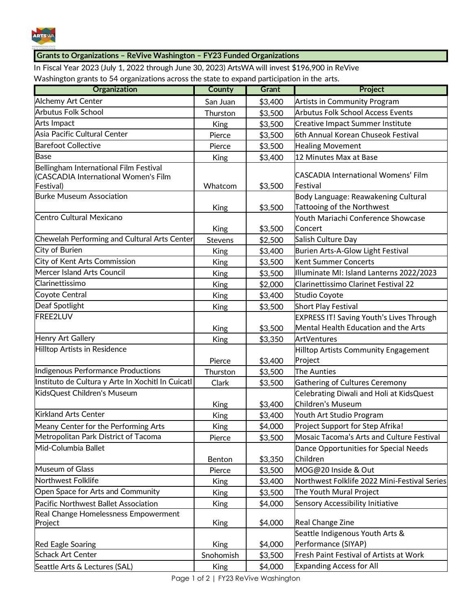

## **Grants to Organizations – ReVive Washington – FY23 Funded Organizations**

In Fiscal Year 2023 (July 1, 2022 through June 30, 2023) ArtsWA will invest \$196,900 in ReVive Washington grants to 54 organizations across the state to expand participation in the arts.

| Organization                                                                                | <b>County</b> | <b>Grant</b>       | <b>Project</b>                                                                          |
|---------------------------------------------------------------------------------------------|---------------|--------------------|-----------------------------------------------------------------------------------------|
| Alchemy Art Center                                                                          | San Juan      | \$3,400            | <b>Artists in Community Program</b>                                                     |
| <b>Arbutus Folk School</b>                                                                  | Thurston      | \$3,500            | <b>Arbutus Folk School Access Events</b>                                                |
| Arts Impact                                                                                 | <b>King</b>   | \$3,500            | <b>Creative Impact Summer Institute</b>                                                 |
| Asia Pacific Cultural Center                                                                | Pierce        | \$3,500            | 6th Annual Korean Chuseok Festival                                                      |
| <b>Barefoot Collective</b>                                                                  | Pierce        | \$3,500            | <b>Healing Movement</b>                                                                 |
| <b>Base</b>                                                                                 | <b>King</b>   | \$3,400            | 12 Minutes Max at Base                                                                  |
| Bellingham International Film Festival<br>(CASCADIA International Women's Film<br>Festival) | Whatcom       | \$3,500            | <b>CASCADIA International Womens' Film</b><br>Festival                                  |
| <b>Burke Museum Association</b>                                                             |               |                    | Body Language: Reawakening Cultural<br><b>Tattooing of the Northwest</b>                |
| Centro Cultural Mexicano                                                                    | King<br>King  | \$3,500<br>\$3,500 | Youth Mariachi Conference Showcase<br>Concert                                           |
| Chewelah Performing and Cultural Arts Center                                                | Stevens       | \$2,500            | Salish Culture Day                                                                      |
| City of Burien                                                                              | <b>King</b>   | \$3,400            | Burien Arts-A-Glow Light Festival                                                       |
| City of Kent Arts Commission                                                                | <b>King</b>   | \$3,500            | <b>Kent Summer Concerts</b>                                                             |
| Mercer Island Arts Council                                                                  | <b>King</b>   | \$3,500            | Illuminate MI: Island Lanterns 2022/2023                                                |
| Clarinettissimo                                                                             | <b>King</b>   | \$2,000            | Clarinettissimo Clarinet Festival 22                                                    |
| Coyote Central                                                                              | <b>King</b>   | \$3,400            | Studio Coyote                                                                           |
| Deaf Spotlight                                                                              | King          | \$3,500            | <b>Short Play Festival</b>                                                              |
| FREE2LUV                                                                                    | <b>King</b>   | \$3,500            | <b>EXPRESS IT! Saving Youth's Lives Through</b><br>Mental Health Education and the Arts |
| Henry Art Gallery                                                                           | <b>King</b>   | \$3,350            | ArtVentures                                                                             |
| <b>Hilltop Artists in Residence</b>                                                         | Pierce        | \$3,400            | <b>Hilltop Artists Community Engagement</b><br>Project                                  |
| Indigenous Performance Productions                                                          | Thurston      | \$3,500            | The Aunties                                                                             |
| Instituto de Cultura y Arte In Xochitl In Cuicatl                                           | Clark         | \$3,500            | <b>Gathering of Cultures Ceremony</b>                                                   |
| KidsQuest Children's Museum                                                                 | <b>King</b>   | \$3,400            | Celebrating Diwali and Holi at KidsQuest<br>Children's Museum                           |
| <b>Kirkland Arts Center</b>                                                                 | King          | \$3,400            | Youth Art Studio Program                                                                |
| Meany Center for the Performing Arts                                                        | <b>King</b>   | \$4,000            | Project Support for Step Afrika!                                                        |
| Metropolitan Park District of Tacoma                                                        | Pierce        | \$3,500            | <b>Mosaic Tacoma's Arts and Culture Festival</b>                                        |
| Mid-Columbia Ballet                                                                         | Benton        | \$3,350            | Dance Opportunities for Special Needs<br>Children                                       |
| Museum of Glass                                                                             | Pierce        | \$3,500            | MOG@20 Inside & Out                                                                     |
| Northwest Folklife                                                                          | <b>King</b>   | \$3,400            | Northwest Folklife 2022 Mini-Festival Series                                            |
| Open Space for Arts and Community                                                           | <b>King</b>   | \$3,500            | The Youth Mural Project                                                                 |
| Pacific Northwest Ballet Association                                                        | <b>King</b>   | \$4,000            | Sensory Accessibility Initiative                                                        |
| Real Change Homelessness Empowerment<br>Project                                             | <b>King</b>   | \$4,000            | Real Change Zine                                                                        |
| Red Eagle Soaring                                                                           | <b>King</b>   | \$4,000            | Seattle Indigenous Youth Arts &<br>Performance (SIYAP)                                  |
| <b>Schack Art Center</b>                                                                    | Snohomish     | \$3,500            | Fresh Paint Festival of Artists at Work                                                 |
| Seattle Arts & Lectures (SAL)                                                               | <b>King</b>   | \$4,000            | <b>Expanding Access for All</b>                                                         |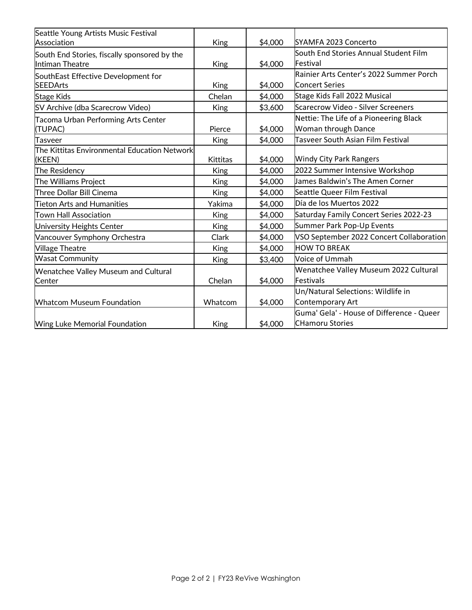| Seattle Young Artists Music Festival<br>Association             | <b>King</b>     | \$4,000 | SYAMFA 2023 Concerto                      |
|-----------------------------------------------------------------|-----------------|---------|-------------------------------------------|
|                                                                 |                 |         | South End Stories Annual Student Film     |
| South End Stories, fiscally sponsored by the<br>Intiman Theatre | King            | \$4,000 | Festival                                  |
| SouthEast Effective Development for                             |                 |         | Rainier Arts Center's 2022 Summer Porch   |
| <b>SEEDArts</b>                                                 | <b>King</b>     | \$4,000 | <b>Concert Series</b>                     |
| <b>Stage Kids</b>                                               | Chelan          | \$4,000 | Stage Kids Fall 2022 Musical              |
| SV Archive (dba Scarecrow Video)                                | <b>King</b>     | \$3,600 | Scarecrow Video - Silver Screeners        |
| Tacoma Urban Performing Arts Center                             |                 |         | Nettie: The Life of a Pioneering Black    |
| (TUPAC)                                                         | Pierce          | \$4,000 | Woman through Dance                       |
| <b>Tasveer</b>                                                  | King            | \$4,000 | Tasveer South Asian Film Festival         |
| The Kittitas Environmental Education Network<br>(KEEN)          | <b>Kittitas</b> | \$4,000 | <b>Windy City Park Rangers</b>            |
| The Residency                                                   | <b>King</b>     | \$4,000 | 2022 Summer Intensive Workshop            |
| The Williams Project                                            | <b>King</b>     | \$4,000 | James Baldwin's The Amen Corner           |
| Three Dollar Bill Cinema                                        | <b>King</b>     | \$4,000 | Seattle Queer Film Festival               |
| <b>Tieton Arts and Humanities</b>                               | Yakima          | \$4,000 | Día de los Muertos 2022                   |
| <b>Town Hall Association</b>                                    | <b>King</b>     | \$4,000 | Saturday Family Concert Series 2022-23    |
| University Heights Center                                       | <b>King</b>     | \$4,000 | Summer Park Pop-Up Events                 |
| Vancouver Symphony Orchestra                                    | Clark           | \$4,000 | VSO September 2022 Concert Collaboration  |
| <b>Village Theatre</b>                                          | <b>King</b>     | \$4,000 | <b>HOW TO BREAK</b>                       |
| <b>Wasat Community</b>                                          | <b>King</b>     | \$3,400 | Voice of Ummah                            |
| <b>Wenatchee Valley Museum and Cultural</b>                     |                 |         | Wenatchee Valley Museum 2022 Cultural     |
| Center                                                          | Chelan          | \$4,000 | Festivals                                 |
|                                                                 |                 |         | Un/Natural Selections: Wildlife in        |
| <b>Whatcom Museum Foundation</b>                                | Whatcom         | \$4,000 | Contemporary Art                          |
|                                                                 |                 |         | Guma' Gela' - House of Difference - Queer |
| Wing Luke Memorial Foundation                                   | King            | \$4,000 | <b>CHamoru Stories</b>                    |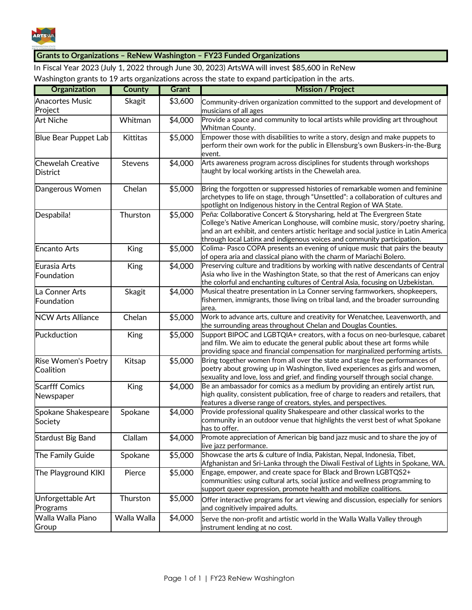

## **Grants to Organizations – ReNew Washington – FY23 Funded Organizations**

In Fiscal Year 2023 (July 1, 2022 through June 30, 2023) ArtsWA will invest \$85,600 in ReNew Washington grants to 19 arts organizations across the state to expand participation in the arts.

| <b>Organization</b>                         | <b>County</b> | <b>Grant</b> | <b>Mission / Project</b>                                                                                                                                                                                                                                                                                                      |  |
|---------------------------------------------|---------------|--------------|-------------------------------------------------------------------------------------------------------------------------------------------------------------------------------------------------------------------------------------------------------------------------------------------------------------------------------|--|
| <b>Anacortes Music</b>                      | Skagit        | \$3,600      | Community-driven organization committed to the support and development of                                                                                                                                                                                                                                                     |  |
| Project                                     |               |              | musicians of all ages                                                                                                                                                                                                                                                                                                         |  |
| <b>Art Niche</b>                            | Whitman       | \$4,000      | Provide a space and community to local artists while providing art throughout<br>Whitman County.                                                                                                                                                                                                                              |  |
| <b>Blue Bear Puppet Lab</b>                 | Kittitas      | \$5,000      | Empower those with disabilities to write a story, design and make puppets to<br>perform their own work for the public in Ellensburg's own Buskers-in-the-Burg<br>event.                                                                                                                                                       |  |
| <b>Chewelah Creative</b><br><b>District</b> | Stevens       | \$4,000      | Arts awareness program across disciplines for students through workshops<br>taught by local working artists in the Chewelah area.                                                                                                                                                                                             |  |
| Dangerous Women                             | Chelan        | \$5,000      | Bring the forgotten or suppressed histories of remarkable women and feminine<br>archetypes to life on stage, through "Unsettled": a collaboration of cultures and<br>spotlight on Indigenous history in the Central Region of WA State.                                                                                       |  |
| Despabila!                                  | Thurston      | \$5,000      | Peña: Collaborative Concert & Storysharing, held at The Evergreen State<br>College's Native American Longhouse, will combine music, story/poetry sharing,<br>and an art exhibit, and centers artistic heritage and social justice in Latin America<br>through local Latinx and indigenous voices and community participation. |  |
| <b>Encanto Arts</b>                         | <b>King</b>   | \$5,000      | Colima- Pasco COPA presents an evening of unique music that pairs the beauty<br>of opera aria and classical piano with the charm of Mariachi Bolero.                                                                                                                                                                          |  |
| Eurasia Arts<br>Foundation                  | King          | \$4,000      | Preserving culture and traditions by working with native descendants of Central<br>Asia who live in the Washington State, so that the rest of Americans can enjoy<br>the colorful and enchanting cultures of Central Asia, focusing on Uzbekistan.                                                                            |  |
| La Conner Arts<br>Foundation                | Skagit        | \$4,000      | Musical theatre presentation in La Conner serving farmworkers, shopkeepers,<br>fishermen, immigrants, those living on tribal land, and the broader surrounding<br>area.                                                                                                                                                       |  |
| <b>NCW Arts Alliance</b>                    | Chelan        | \$5,000      | Work to advance arts, culture and creativity for Wenatchee, Leavenworth, and<br>the surrounding areas throughout Chelan and Douglas Counties.                                                                                                                                                                                 |  |
| Puckduction                                 | <b>King</b>   | \$5,000      | Support BIPOC and LGBTQIA+ creators, with a focus on neo-burlesque, cabaret<br>and film. We aim to educate the general public about these art forms while<br>providing space and financial compensation for marginalized performing artists.                                                                                  |  |
| <b>Rise Women's Poetry</b><br>Coalition     | Kitsap        | \$5,000      | Bring together women from all over the state and stage free performances of<br>poetry about growing up in Washington, lived experiences as girls and women,<br>sexuality and love, loss and grief, and finding yourself through social change.                                                                                |  |
| <b>Scarfff Comics</b><br>Newspaper          | King          | \$4,000      | Be an ambassador for comics as a medium by providing an entirely artist run,<br>high quality, consistent publication, free of charge to readers and retailers, that<br>features a diverse range of creators, styles, and perspectives.                                                                                        |  |
| Spokane Shakespeare<br>Society              | Spokane       | \$4,000      | Provide professional quality Shakespeare and other classical works to the<br>community in an outdoor venue that highlights the verst best of what Spokane<br>has to offer.                                                                                                                                                    |  |
| <b>Stardust Big Band</b>                    | Clallam       | \$4,000      | Promote appreciation of American big band jazz music and to share the joy of<br>live jazz performance.                                                                                                                                                                                                                        |  |
| The Family Guide                            | Spokane       | \$5,000      | Showcase the arts & culture of India, Pakistan, Nepal, Indonesia, Tibet,<br>Afghanistan and Sri-Lanka through the Diwali Festival of Lights in Spokane, WA.                                                                                                                                                                   |  |
| The Playground KIKI                         | Pierce        | \$5,000      | Engage, empower, and create space for Black and Brown LGBTQS2+<br>communities: using cultural arts, social justice and wellness programming to<br>support queer expression, promote health and mobilize coalitions.                                                                                                           |  |
| Unforgettable Art<br>Programs               | Thurston      | \$5,000      | Offer interactive programs for art viewing and discussion, especially for seniors<br>and cognitively impaired adults.                                                                                                                                                                                                         |  |
| Walla Walla Piano<br>Group                  | Walla Walla   | \$4,000      | Serve the non-profit and artistic world in the Walla Walla Valley through<br>instrument lending at no cost.                                                                                                                                                                                                                   |  |